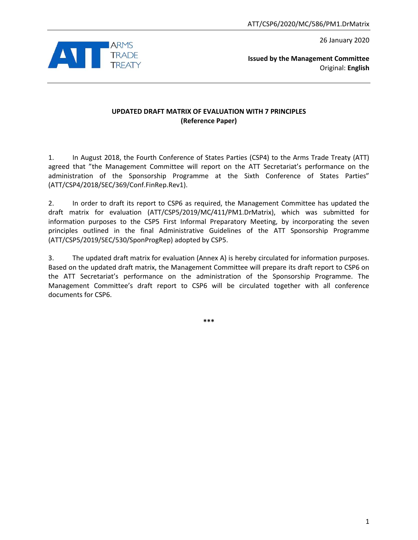26 January 2020



**Issued by the Management Committee** Original: **English**

## **UPDATED DRAFT MATRIX OF EVALUATION WITH 7 PRINCIPLES (Reference Paper)**

1. In August 2018, the Fourth Conference of States Parties (CSP4) to the Arms Trade Treaty (ATT) agreed that "the Management Committee will report on the ATT Secretariat's performance on the administration of the Sponsorship Programme at the Sixth Conference of States Parties" (ATT/CSP4/2018/SEC/369/Conf.FinRep.Rev1).

2. In order to draft its report to CSP6 as required, the Management Committee has updated the draft matrix for evaluation (ATT/CSP5/2019/MC/411/PM1.DrMatrix), which was submitted for information purposes to the CSP5 First Informal Preparatory Meeting, by incorporating the seven principles outlined in the final Administrative Guidelines of the ATT Sponsorship Programme (ATT/CSP5/2019/SEC/530/SponProgRep) adopted by CSP5.

3. The updated draft matrix for evaluation (Annex A) is hereby circulated for information purposes. Based on the updated draft matrix, the Management Committee will prepare its draft report to CSP6 on the ATT Secretariat's performance on the administration of the Sponsorship Programme. The Management Committee's draft report to CSP6 will be circulated together with all conference documents for CSP6.

**\*\*\***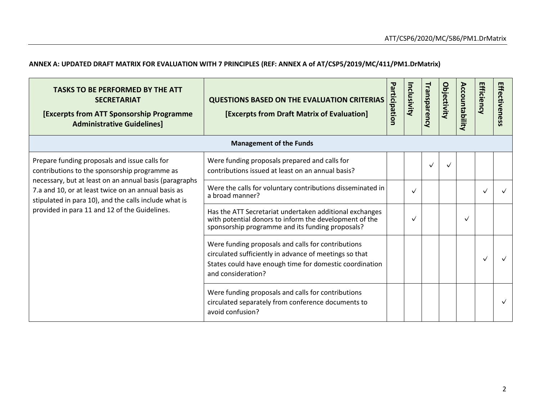## **ANNEX A: UPDATED DRAFT MATRIX FOR EVALUATION WITH 7 PRINCIPLES (REF: ANNEX A of AT/CSP5/2019/MC/411/PM1.DrMatrix)**

| <b>TASKS TO BE PERFORMED BY THE ATT</b><br><b>SECRETARIAT</b><br><b>[Excerpts from ATT Sponsorship Programme</b><br><b>Administrative Guidelines]</b>                                                                                                                                                                     | <b>QUESTIONS BASED ON THE EVALUATION CRITERIAS</b><br>[Excerpts from Draft Matrix of Evaluation]                                                                                              | ᠊ᢦ<br>articipation | nclusivity   | <b>Transparency</b> | <b>Objectivity</b> | Accountability | <b>Efficiency</b> | Effectiveness |
|---------------------------------------------------------------------------------------------------------------------------------------------------------------------------------------------------------------------------------------------------------------------------------------------------------------------------|-----------------------------------------------------------------------------------------------------------------------------------------------------------------------------------------------|--------------------|--------------|---------------------|--------------------|----------------|-------------------|---------------|
|                                                                                                                                                                                                                                                                                                                           | <b>Management of the Funds</b>                                                                                                                                                                |                    |              |                     |                    |                |                   |               |
| Prepare funding proposals and issue calls for<br>contributions to the sponsorship programme as<br>necessary, but at least on an annual basis (paragraphs<br>7.a and 10, or at least twice on an annual basis as<br>stipulated in para 10), and the calls include what is<br>provided in para 11 and 12 of the Guidelines. | Were funding proposals prepared and calls for<br>contributions issued at least on an annual basis?                                                                                            |                    |              | $\checkmark$        |                    |                |                   |               |
|                                                                                                                                                                                                                                                                                                                           | Were the calls for voluntary contributions disseminated in<br>a broad manner?                                                                                                                 |                    | $\checkmark$ |                     |                    |                | $\checkmark$      |               |
|                                                                                                                                                                                                                                                                                                                           | Has the ATT Secretariat undertaken additional exchanges<br>with potential donors to inform the development of the<br>sponsorship programme and its funding proposals?                         |                    | $\checkmark$ |                     |                    | $\checkmark$   |                   |               |
|                                                                                                                                                                                                                                                                                                                           | Were funding proposals and calls for contributions<br>circulated sufficiently in advance of meetings so that<br>States could have enough time for domestic coordination<br>and consideration? |                    |              |                     |                    |                |                   |               |
|                                                                                                                                                                                                                                                                                                                           | Were funding proposals and calls for contributions<br>circulated separately from conference documents to<br>avoid confusion?                                                                  |                    |              |                     |                    |                |                   |               |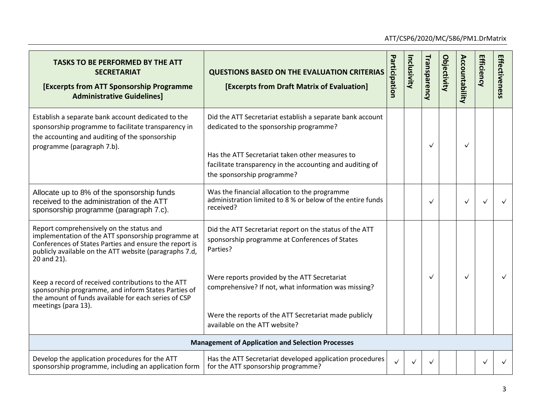| <b>TASKS TO BE PERFORMED BY THE ATT</b><br><b>SECRETARIAT</b><br><b>[Excerpts from ATT Sponsorship Programme</b><br><b>Administrative Guidelines]</b>                                                                             | <b>QUESTIONS BASED ON THE EVALUATION CRITERIAS</b><br>[Excerpts from Draft Matrix of Evaluation]                                                                                                                                                   | Pa<br>rticipation | Inclusivity | Transparency | <b>Objectivity</b> | Accountability | <b>Efficiency</b> | Effectiveness |
|-----------------------------------------------------------------------------------------------------------------------------------------------------------------------------------------------------------------------------------|----------------------------------------------------------------------------------------------------------------------------------------------------------------------------------------------------------------------------------------------------|-------------------|-------------|--------------|--------------------|----------------|-------------------|---------------|
| Establish a separate bank account dedicated to the<br>sponsorship programme to facilitate transparency in<br>the accounting and auditing of the sponsorship<br>programme (paragraph 7.b).                                         | Did the ATT Secretariat establish a separate bank account<br>dedicated to the sponsorship programme?<br>Has the ATT Secretariat taken other measures to<br>facilitate transparency in the accounting and auditing of<br>the sponsorship programme? |                   |             | ✓            |                    | $\checkmark$   |                   |               |
| Allocate up to 8% of the sponsorship funds<br>received to the administration of the ATT<br>sponsorship programme (paragraph 7.c).                                                                                                 | Was the financial allocation to the programme<br>administration limited to 8 % or below of the entire funds<br>received?                                                                                                                           |                   |             | ✓            |                    | ✓              | $\checkmark$      | $\checkmark$  |
| Report comprehensively on the status and<br>implementation of the ATT sponsorship programme at<br>Conferences of States Parties and ensure the report is<br>publicly available on the ATT website (paragraphs 7.d,<br>20 and 21). | Did the ATT Secretariat report on the status of the ATT<br>sponsorship programme at Conferences of States<br>Parties?                                                                                                                              |                   |             |              |                    |                |                   |               |
| Keep a record of received contributions to the ATT<br>sponsorship programme, and inform States Parties of<br>the amount of funds available for each series of CSP<br>meetings (para 13).                                          | Were reports provided by the ATT Secretariat<br>comprehensive? If not, what information was missing?<br>Were the reports of the ATT Secretariat made publicly<br>available on the ATT website?                                                     |                   |             | ✓            |                    | $\checkmark$   |                   |               |
|                                                                                                                                                                                                                                   | <b>Management of Application and Selection Processes</b>                                                                                                                                                                                           |                   |             |              |                    |                |                   |               |
| Develop the application procedures for the ATT<br>sponsorship programme, including an application form                                                                                                                            | Has the ATT Secretariat developed application procedures<br>for the ATT sponsorship programme?                                                                                                                                                     | $\checkmark$      |             | $\checkmark$ |                    |                | ✓                 |               |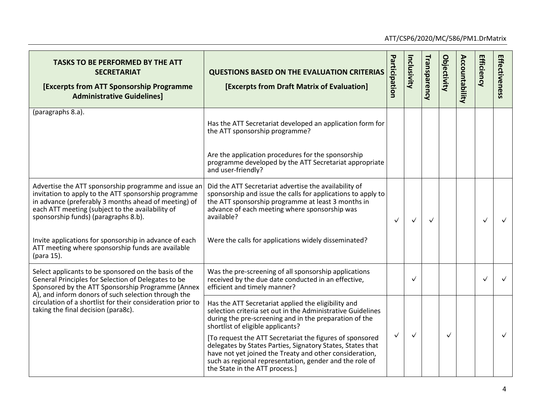| <b>TASKS TO BE PERFORMED BY THE ATT</b><br><b>SECRETARIAT</b><br><b>[Excerpts from ATT Sponsorship Programme</b><br><b>Administrative Guidelines]</b>                                                                                                            | <b>QUESTIONS BASED ON THE EVALUATION CRITERIAS</b><br>[Excerpts from Draft Matrix of Evaluation]                                                                                                                                                                               | Participation | Inclusivity  | Transparency | <b>Objectivity</b> | Accountability | <b>Efficiency</b> | Effectiveness |
|------------------------------------------------------------------------------------------------------------------------------------------------------------------------------------------------------------------------------------------------------------------|--------------------------------------------------------------------------------------------------------------------------------------------------------------------------------------------------------------------------------------------------------------------------------|---------------|--------------|--------------|--------------------|----------------|-------------------|---------------|
| (paragraphs 8.a).                                                                                                                                                                                                                                                | Has the ATT Secretariat developed an application form for<br>the ATT sponsorship programme?                                                                                                                                                                                    |               |              |              |                    |                |                   |               |
|                                                                                                                                                                                                                                                                  | Are the application procedures for the sponsorship<br>programme developed by the ATT Secretariat appropriate<br>and user-friendly?                                                                                                                                             |               |              |              |                    |                |                   |               |
| Advertise the ATT sponsorship programme and issue an<br>invitation to apply to the ATT sponsorship programme<br>in advance (preferably 3 months ahead of meeting) of<br>each ATT meeting (subject to the availability of<br>sponsorship funds) (paragraphs 8.b). | Did the ATT Secretariat advertise the availability of<br>sponsorship and issue the calls for applications to apply to<br>the ATT sponsorship programme at least 3 months in<br>advance of each meeting where sponsorship was<br>available?                                     | $\checkmark$  | $\checkmark$ | $\checkmark$ |                    |                | $\checkmark$      |               |
| Invite applications for sponsorship in advance of each<br>ATT meeting where sponsorship funds are available<br>(para 15).                                                                                                                                        | Were the calls for applications widely disseminated?                                                                                                                                                                                                                           |               |              |              |                    |                |                   |               |
| Select applicants to be sponsored on the basis of the<br>General Principles for Selection of Delegates to be<br>Sponsored by the ATT Sponsorship Programme (Annex<br>A), and inform donors of such selection through the                                         | Was the pre-screening of all sponsorship applications<br>received by the due date conducted in an effective,<br>efficient and timely manner?                                                                                                                                   |               | $\checkmark$ |              |                    |                | $\checkmark$      | $\checkmark$  |
| circulation of a shortlist for their consideration prior to<br>taking the final decision (para8c).                                                                                                                                                               | Has the ATT Secretariat applied the eligibility and<br>selection criteria set out in the Administrative Guidelines<br>during the pre-screening and in the preparation of the<br>shortlist of eligible applicants?                                                              |               |              |              |                    |                |                   |               |
|                                                                                                                                                                                                                                                                  | [To request the ATT Secretariat the figures of sponsored<br>delegates by States Parties, Signatory States, States that<br>have not yet joined the Treaty and other consideration,<br>such as regional representation, gender and the role of<br>the State in the ATT process.] | $\checkmark$  | $\checkmark$ |              | $\checkmark$       |                |                   | $\checkmark$  |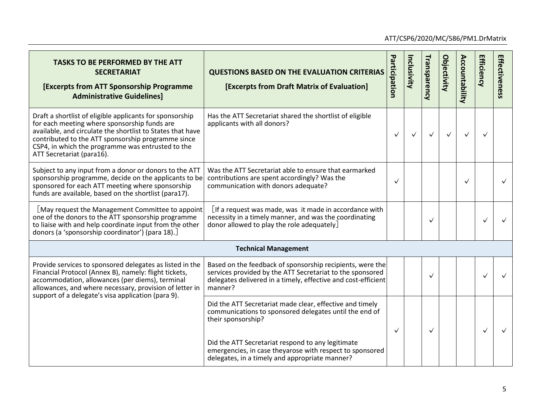| <b>TASKS TO BE PERFORMED BY THE ATT</b><br><b>SECRETARIAT</b><br><b>[Excerpts from ATT Sponsorship Programme</b><br><b>Administrative Guidelines]</b>                                                                                                                                                          | <b>QUESTIONS BASED ON THE EVALUATION CRITERIAS</b><br>[Excerpts from Draft Matrix of Evaluation]                                                                                                   | Participation | Inclusivity  | Transparency | <b>Objectivity</b> | Accountability | Efficiency   | Effectiveness |
|----------------------------------------------------------------------------------------------------------------------------------------------------------------------------------------------------------------------------------------------------------------------------------------------------------------|----------------------------------------------------------------------------------------------------------------------------------------------------------------------------------------------------|---------------|--------------|--------------|--------------------|----------------|--------------|---------------|
| Draft a shortlist of eligible applicants for sponsorship<br>for each meeting where sponsorship funds are<br>available, and circulate the shortlist to States that have<br>contributed to the ATT sponsorship programme since<br>CSP4, in which the programme was entrusted to the<br>ATT Secretariat (para16). | Has the ATT Secretariat shared the shortlist of eligible<br>applicants with all donors?                                                                                                            | $\checkmark$  | $\checkmark$ | $\checkmark$ | $\checkmark$       |                | $\checkmark$ |               |
| Subject to any input from a donor or donors to the ATT<br>sponsorship programme, decide on the applicants to be<br>sponsored for each ATT meeting where sponsorship<br>funds are available, based on the shortlist (para17).                                                                                   | Was the ATT Secretariat able to ensure that earmarked<br>contributions are spent accordingly? Was the<br>communication with donors adequate?                                                       | $\checkmark$  |              |              |                    | $\checkmark$   |              | $\checkmark$  |
| [May request the Management Committee to appoint<br>one of the donors to the ATT sponsorship programme<br>to liaise with and help coordinate input from the other<br>donors (a 'sponsorship coordinator') (para 18).]                                                                                          | $[$ If a request was made, was it made in accordance with<br>necessity in a timely manner, and was the coordinating<br>donor allowed to play the role adequately                                   |               |              | $\checkmark$ |                    |                | $\checkmark$ | $\checkmark$  |
| <b>Technical Management</b>                                                                                                                                                                                                                                                                                    |                                                                                                                                                                                                    |               |              |              |                    |                |              |               |
| Provide services to sponsored delegates as listed in the<br>Financial Protocol (Annex B), namely: flight tickets,<br>accommodation, allowances (per diems), terminal<br>allowances, and where necessary, provision of letter in<br>support of a delegate's visa application (para 9).                          | Based on the feedback of sponsorship recipients, were the<br>services provided by the ATT Secretariat to the sponsored<br>delegates delivered in a timely, effective and cost-efficient<br>manner? |               |              | ✓            |                    |                |              |               |
|                                                                                                                                                                                                                                                                                                                | Did the ATT Secretariat made clear, effective and timely<br>communications to sponsored delegates until the end of<br>their sponsorship?                                                           | ✓             |              | ✓            |                    |                | ✓            | $\checkmark$  |
|                                                                                                                                                                                                                                                                                                                | Did the ATT Secretariat respond to any legitimate<br>emergencies, in case theyarose with respect to sponsored<br>delegates, in a timely and appropriate manner?                                    |               |              |              |                    |                |              |               |